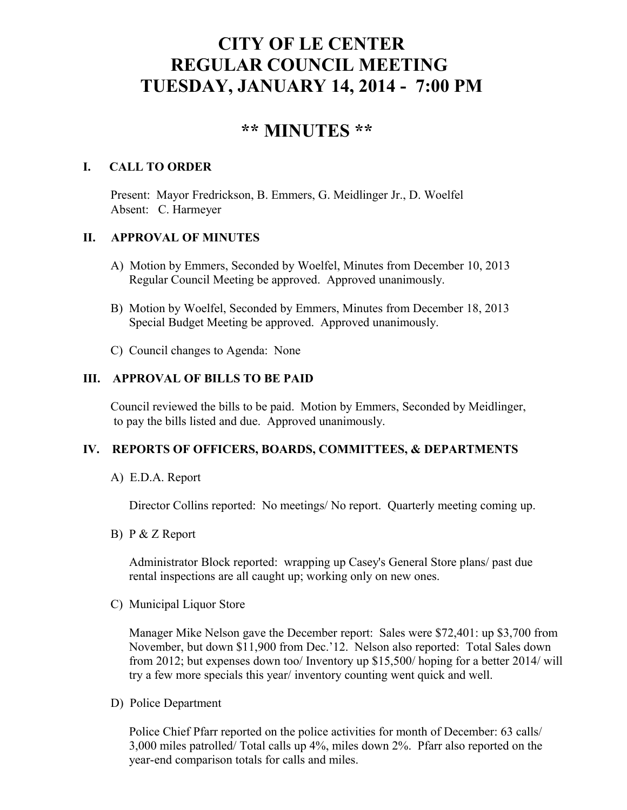# **CITY OF LE CENTER REGULAR COUNCIL MEETING TUESDAY, JANUARY 14, 2014 - 7:00 PM**

# **\*\* MINUTES \*\***

# **I. CALL TO ORDER**

Present: Mayor Fredrickson, B. Emmers, G. Meidlinger Jr., D. Woelfel Absent: C. Harmeyer

### **II. APPROVAL OF MINUTES**

- A) Motion by Emmers, Seconded by Woelfel, Minutes from December 10, 2013 Regular Council Meeting be approved. Approved unanimously.
- B) Motion by Woelfel, Seconded by Emmers, Minutes from December 18, 2013 Special Budget Meeting be approved. Approved unanimously.
- C) Council changes to Agenda: None

## **III. APPROVAL OF BILLS TO BE PAID**

Council reviewed the bills to be paid. Motion by Emmers, Seconded by Meidlinger, to pay the bills listed and due. Approved unanimously.

#### **IV. REPORTS OF OFFICERS, BOARDS, COMMITTEES, & DEPARTMENTS**

A) E.D.A. Report

Director Collins reported: No meetings/ No report. Quarterly meeting coming up.

B) P & Z Report

 Administrator Block reported: wrapping up Casey's General Store plans/ past due rental inspections are all caught up; working only on new ones.

C) Municipal Liquor Store

Manager Mike Nelson gave the December report: Sales were \$72,401: up \$3,700 from November, but down \$11,900 from Dec.'12. Nelson also reported: Total Sales down from 2012; but expenses down too/ Inventory up \$15,500/ hoping for a better 2014/ will try a few more specials this year/ inventory counting went quick and well.

D) Police Department

Police Chief Pfarr reported on the police activities for month of December: 63 calls/ 3,000 miles patrolled/ Total calls up 4%, miles down 2%. Pfarr also reported on the year-end comparison totals for calls and miles.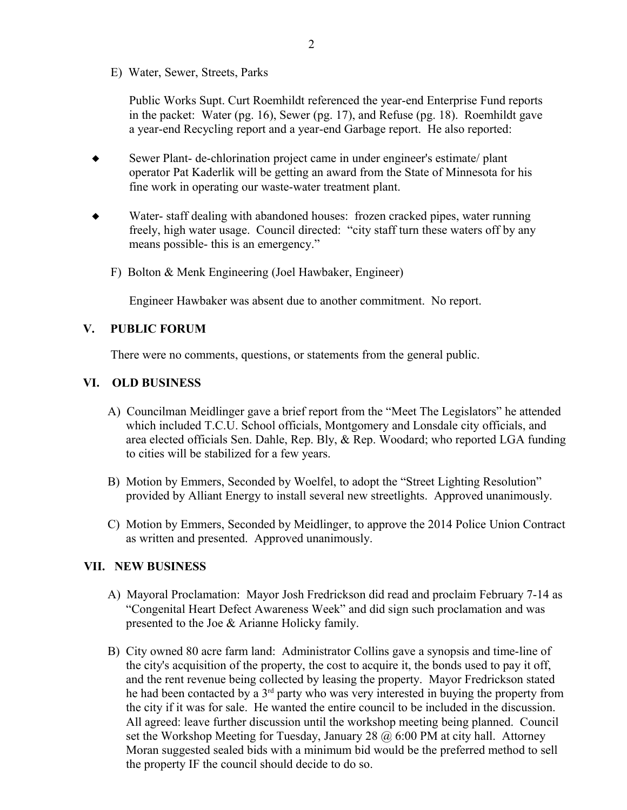E) Water, Sewer, Streets, Parks

 Public Works Supt. Curt Roemhildt referenced the year-end Enterprise Fund reports in the packet: Water (pg. 16), Sewer (pg. 17), and Refuse (pg. 18). Roemhildt gave a year-end Recycling report and a year-end Garbage report. He also reported:

- Sewer Plant- de-chlorination project came in under engineer's estimate/ plant operator Pat Kaderlik will be getting an award from the State of Minnesota for his fine work in operating our waste-water treatment plant.
- Water- staff dealing with abandoned houses: frozen cracked pipes, water running freely, high water usage. Council directed: "city staff turn these waters off by any means possible- this is an emergency."
	- F) Bolton & Menk Engineering (Joel Hawbaker, Engineer)

Engineer Hawbaker was absent due to another commitment. No report.

#### **V. PUBLIC FORUM**

There were no comments, questions, or statements from the general public.

#### **VI. OLD BUSINESS**

- A) Councilman Meidlinger gave a brief report from the "Meet The Legislators" he attended which included T.C.U. School officials, Montgomery and Lonsdale city officials, and area elected officials Sen. Dahle, Rep. Bly, & Rep. Woodard; who reported LGA funding to cities will be stabilized for a few years.
- B) Motion by Emmers, Seconded by Woelfel, to adopt the "Street Lighting Resolution" provided by Alliant Energy to install several new streetlights. Approved unanimously.
- C) Motion by Emmers, Seconded by Meidlinger, to approve the 2014 Police Union Contract as written and presented. Approved unanimously.

#### **VII. NEW BUSINESS**

- A) Mayoral Proclamation: Mayor Josh Fredrickson did read and proclaim February 7-14 as "Congenital Heart Defect Awareness Week" and did sign such proclamation and was presented to the Joe & Arianne Holicky family.
- B) City owned 80 acre farm land: Administrator Collins gave a synopsis and time-line of the city's acquisition of the property, the cost to acquire it, the bonds used to pay it off, and the rent revenue being collected by leasing the property. Mayor Fredrickson stated he had been contacted by a 3rd party who was very interested in buying the property from the city if it was for sale. He wanted the entire council to be included in the discussion. All agreed: leave further discussion until the workshop meeting being planned. Council set the Workshop Meeting for Tuesday, January 28  $\omega$  6:00 PM at city hall. Attorney Moran suggested sealed bids with a minimum bid would be the preferred method to sell the property IF the council should decide to do so.